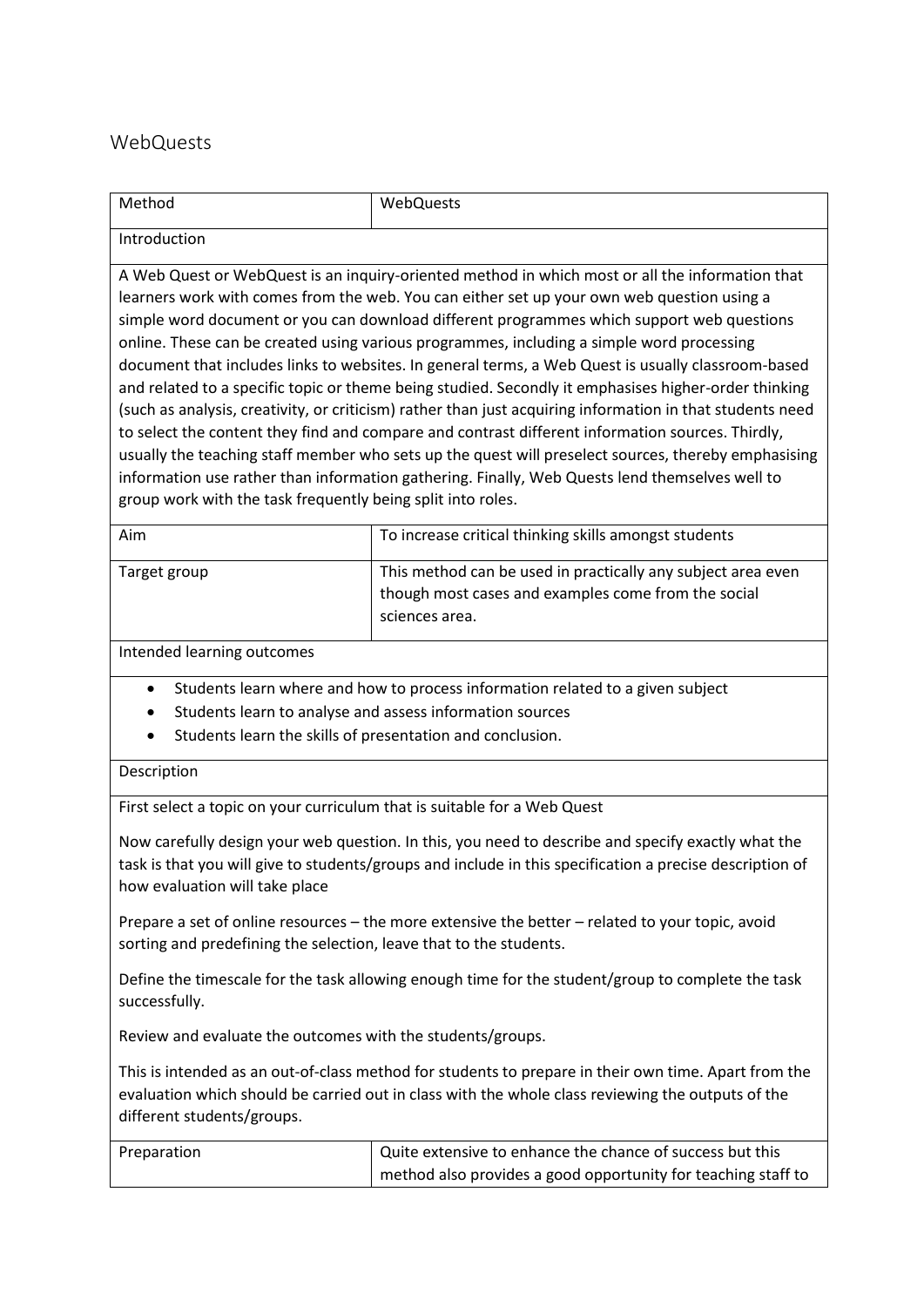## WebQuests

| Method                                                                                                                                                                                                                                                                                                                                                                                                                                                                                                                                                                                                                                                                                                                                                                                                                                                                                                                                                                                                                                                                                         | WebQuests                                                                                                                             |  |
|------------------------------------------------------------------------------------------------------------------------------------------------------------------------------------------------------------------------------------------------------------------------------------------------------------------------------------------------------------------------------------------------------------------------------------------------------------------------------------------------------------------------------------------------------------------------------------------------------------------------------------------------------------------------------------------------------------------------------------------------------------------------------------------------------------------------------------------------------------------------------------------------------------------------------------------------------------------------------------------------------------------------------------------------------------------------------------------------|---------------------------------------------------------------------------------------------------------------------------------------|--|
| Introduction                                                                                                                                                                                                                                                                                                                                                                                                                                                                                                                                                                                                                                                                                                                                                                                                                                                                                                                                                                                                                                                                                   |                                                                                                                                       |  |
| A Web Quest or WebQuest is an inquiry-oriented method in which most or all the information that<br>learners work with comes from the web. You can either set up your own web question using a<br>simple word document or you can download different programmes which support web questions<br>online. These can be created using various programmes, including a simple word processing<br>document that includes links to websites. In general terms, a Web Quest is usually classroom-based<br>and related to a specific topic or theme being studied. Secondly it emphasises higher-order thinking<br>(such as analysis, creativity, or criticism) rather than just acquiring information in that students need<br>to select the content they find and compare and contrast different information sources. Thirdly,<br>usually the teaching staff member who sets up the quest will preselect sources, thereby emphasising<br>information use rather than information gathering. Finally, Web Quests lend themselves well to<br>group work with the task frequently being split into roles. |                                                                                                                                       |  |
| Aim                                                                                                                                                                                                                                                                                                                                                                                                                                                                                                                                                                                                                                                                                                                                                                                                                                                                                                                                                                                                                                                                                            | To increase critical thinking skills amongst students                                                                                 |  |
| Target group                                                                                                                                                                                                                                                                                                                                                                                                                                                                                                                                                                                                                                                                                                                                                                                                                                                                                                                                                                                                                                                                                   | This method can be used in practically any subject area even<br>though most cases and examples come from the social<br>sciences area. |  |
| Intended learning outcomes                                                                                                                                                                                                                                                                                                                                                                                                                                                                                                                                                                                                                                                                                                                                                                                                                                                                                                                                                                                                                                                                     |                                                                                                                                       |  |
| Students learn where and how to process information related to a given subject<br>$\bullet$<br>Students learn to analyse and assess information sources<br>Students learn the skills of presentation and conclusion.<br>Description                                                                                                                                                                                                                                                                                                                                                                                                                                                                                                                                                                                                                                                                                                                                                                                                                                                            |                                                                                                                                       |  |
| First select a topic on your curriculum that is suitable for a Web Quest                                                                                                                                                                                                                                                                                                                                                                                                                                                                                                                                                                                                                                                                                                                                                                                                                                                                                                                                                                                                                       |                                                                                                                                       |  |
| Now carefully design your web question. In this, you need to describe and specify exactly what the<br>task is that you will give to students/groups and include in this specification a precise description of<br>how evaluation will take place                                                                                                                                                                                                                                                                                                                                                                                                                                                                                                                                                                                                                                                                                                                                                                                                                                               |                                                                                                                                       |  |
| Prepare a set of online resources - the more extensive the better - related to your topic, avoid<br>sorting and predefining the selection, leave that to the students.                                                                                                                                                                                                                                                                                                                                                                                                                                                                                                                                                                                                                                                                                                                                                                                                                                                                                                                         |                                                                                                                                       |  |
| Define the timescale for the task allowing enough time for the student/group to complete the task<br>successfully.                                                                                                                                                                                                                                                                                                                                                                                                                                                                                                                                                                                                                                                                                                                                                                                                                                                                                                                                                                             |                                                                                                                                       |  |
| Review and evaluate the outcomes with the students/groups.                                                                                                                                                                                                                                                                                                                                                                                                                                                                                                                                                                                                                                                                                                                                                                                                                                                                                                                                                                                                                                     |                                                                                                                                       |  |
| This is intended as an out-of-class method for students to prepare in their own time. Apart from the<br>evaluation which should be carried out in class with the whole class reviewing the outputs of the<br>different students/groups.                                                                                                                                                                                                                                                                                                                                                                                                                                                                                                                                                                                                                                                                                                                                                                                                                                                        |                                                                                                                                       |  |
| Preparation                                                                                                                                                                                                                                                                                                                                                                                                                                                                                                                                                                                                                                                                                                                                                                                                                                                                                                                                                                                                                                                                                    | Quite extensive to enhance the chance of success but this<br>method also provides a good opportunity for teaching staff to            |  |